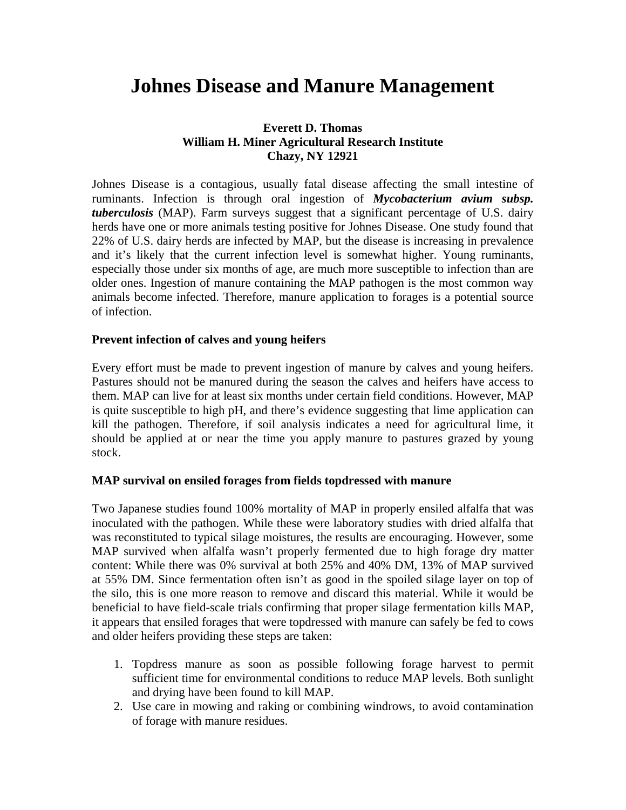# **Johnes Disease and Manure Management**

## **Everett D. Thomas William H. Miner Agricultural Research Institute Chazy, NY 12921**

Johnes Disease is a contagious, usually fatal disease affecting the small intestine of ruminants. Infection is through oral ingestion of *Mycobacterium avium subsp. tuberculosis* (MAP). Farm surveys suggest that a significant percentage of U.S. dairy herds have one or more animals testing positive for Johnes Disease. One study found that 22% of U.S. dairy herds are infected by MAP, but the disease is increasing in prevalence and it's likely that the current infection level is somewhat higher. Young ruminants, especially those under six months of age, are much more susceptible to infection than are older ones. Ingestion of manure containing the MAP pathogen is the most common way animals become infected. Therefore, manure application to forages is a potential source of infection.

### **Prevent infection of calves and young heifers**

Every effort must be made to prevent ingestion of manure by calves and young heifers. Pastures should not be manured during the season the calves and heifers have access to them. MAP can live for at least six months under certain field conditions. However, MAP is quite susceptible to high pH, and there's evidence suggesting that lime application can kill the pathogen. Therefore, if soil analysis indicates a need for agricultural lime, it should be applied at or near the time you apply manure to pastures grazed by young stock.

#### **MAP survival on ensiled forages from fields topdressed with manure**

Two Japanese studies found 100% mortality of MAP in properly ensiled alfalfa that was inoculated with the pathogen. While these were laboratory studies with dried alfalfa that was reconstituted to typical silage moistures, the results are encouraging. However, some MAP survived when alfalfa wasn't properly fermented due to high forage dry matter content: While there was 0% survival at both 25% and 40% DM, 13% of MAP survived at 55% DM. Since fermentation often isn't as good in the spoiled silage layer on top of the silo, this is one more reason to remove and discard this material. While it would be beneficial to have field-scale trials confirming that proper silage fermentation kills MAP, it appears that ensiled forages that were topdressed with manure can safely be fed to cows and older heifers providing these steps are taken:

- 1. Topdress manure as soon as possible following forage harvest to permit sufficient time for environmental conditions to reduce MAP levels. Both sunlight and drying have been found to kill MAP.
- 2. Use care in mowing and raking or combining windrows, to avoid contamination of forage with manure residues.